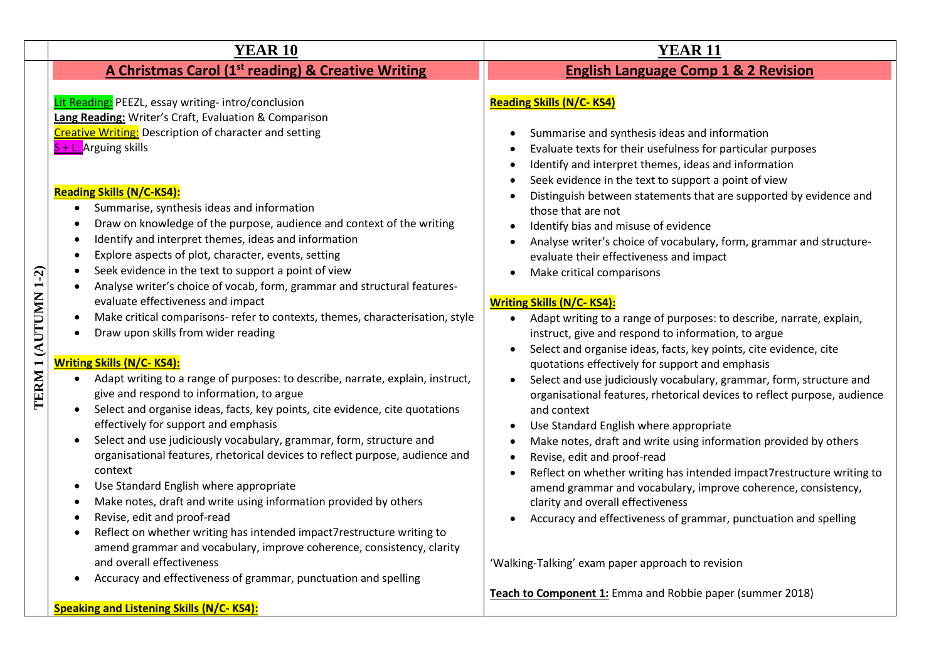|                     | <b>YEAR 10</b>                                                                                                                                                                                                                                                                                                                                                                                                                                                                                                                                                                                                                                                                                                                                                                                                                                                                                                                                                                                                                                                                                                                                                                                                                                             | <b>YEAR 11</b>                                                                                                                                                                                                                                                                                                                                                                                                                                                                                                                                                                                                                                                                                                                                                                                                                                                                                                                                                                                                                                                                                                                                                                                                                                                 |
|---------------------|------------------------------------------------------------------------------------------------------------------------------------------------------------------------------------------------------------------------------------------------------------------------------------------------------------------------------------------------------------------------------------------------------------------------------------------------------------------------------------------------------------------------------------------------------------------------------------------------------------------------------------------------------------------------------------------------------------------------------------------------------------------------------------------------------------------------------------------------------------------------------------------------------------------------------------------------------------------------------------------------------------------------------------------------------------------------------------------------------------------------------------------------------------------------------------------------------------------------------------------------------------|----------------------------------------------------------------------------------------------------------------------------------------------------------------------------------------------------------------------------------------------------------------------------------------------------------------------------------------------------------------------------------------------------------------------------------------------------------------------------------------------------------------------------------------------------------------------------------------------------------------------------------------------------------------------------------------------------------------------------------------------------------------------------------------------------------------------------------------------------------------------------------------------------------------------------------------------------------------------------------------------------------------------------------------------------------------------------------------------------------------------------------------------------------------------------------------------------------------------------------------------------------------|
|                     | A Christmas Carol (1 <sup>st</sup> reading) & Creative Writing                                                                                                                                                                                                                                                                                                                                                                                                                                                                                                                                                                                                                                                                                                                                                                                                                                                                                                                                                                                                                                                                                                                                                                                             | <b>English Language Comp 1 &amp; 2 Revision</b>                                                                                                                                                                                                                                                                                                                                                                                                                                                                                                                                                                                                                                                                                                                                                                                                                                                                                                                                                                                                                                                                                                                                                                                                                |
| TERM 1 (AUTUMN 1-2) | Lit Reading: PEEZL, essay writing-intro/conclusion<br>Lang Reading: Writer's Craft, Evaluation & Comparison<br><b>Creative Writing:</b> Description of character and setting<br>S + L: Arguing skills<br><b>Reading Skills (N/C-KS4):</b><br>Summarise, synthesis ideas and information<br>Draw on knowledge of the purpose, audience and context of the writing<br>Identify and interpret themes, ideas and information<br>Explore aspects of plot, character, events, setting<br>Seek evidence in the text to support a point of view<br>Analyse writer's choice of vocab, form, grammar and structural features-<br>evaluate effectiveness and impact<br>Make critical comparisons- refer to contexts, themes, characterisation, style<br>Draw upon skills from wider reading<br><b>Writing Skills (N/C-KS4):</b><br>Adapt writing to a range of purposes: to describe, narrate, explain, instruct,<br>$\bullet$<br>give and respond to information, to argue<br>Select and organise ideas, facts, key points, cite evidence, cite quotations<br>effectively for support and emphasis<br>Select and use judiciously vocabulary, grammar, form, structure and<br>organisational features, rhetorical devices to reflect purpose, audience and<br>context | <b>Reading Skills (N/C-KS4)</b><br>Summarise and synthesis ideas and information<br>Evaluate texts for their usefulness for particular purposes<br>Identify and interpret themes, ideas and information<br>Seek evidence in the text to support a point of view<br>Distinguish between statements that are supported by evidence and<br>those that are not<br>Identify bias and misuse of evidence<br>Analyse writer's choice of vocabulary, form, grammar and structure-<br>evaluate their effectiveness and impact<br>Make critical comparisons<br><b>Writing Skills (N/C-KS4):</b><br>Adapt writing to a range of purposes: to describe, narrate, explain,<br>$\bullet$<br>instruct, give and respond to information, to argue<br>Select and organise ideas, facts, key points, cite evidence, cite<br>quotations effectively for support and emphasis<br>Select and use judiciously vocabulary, grammar, form, structure and<br>organisational features, rhetorical devices to reflect purpose, audience<br>and context<br>Use Standard English where appropriate<br>Make notes, draft and write using information provided by others<br>Revise, edit and proof-read<br>Reflect on whether writing has intended impact7restructure writing to<br>$\bullet$ |
|                     | Use Standard English where appropriate<br>Make notes, draft and write using information provided by others<br>Revise, edit and proof-read<br>Reflect on whether writing has intended impact7restructure writing to<br>amend grammar and vocabulary, improve coherence, consistency, clarity                                                                                                                                                                                                                                                                                                                                                                                                                                                                                                                                                                                                                                                                                                                                                                                                                                                                                                                                                                | amend grammar and vocabulary, improve coherence, consistency,<br>clarity and overall effectiveness<br>Accuracy and effectiveness of grammar, punctuation and spelling                                                                                                                                                                                                                                                                                                                                                                                                                                                                                                                                                                                                                                                                                                                                                                                                                                                                                                                                                                                                                                                                                          |
|                     | and overall effectiveness<br>Accuracy and effectiveness of grammar, punctuation and spelling<br>$\bullet$                                                                                                                                                                                                                                                                                                                                                                                                                                                                                                                                                                                                                                                                                                                                                                                                                                                                                                                                                                                                                                                                                                                                                  | 'Walking-Talking' exam paper approach to revision                                                                                                                                                                                                                                                                                                                                                                                                                                                                                                                                                                                                                                                                                                                                                                                                                                                                                                                                                                                                                                                                                                                                                                                                              |
|                     | <b>Speaking and Listening Skills (N/C-KS4):</b>                                                                                                                                                                                                                                                                                                                                                                                                                                                                                                                                                                                                                                                                                                                                                                                                                                                                                                                                                                                                                                                                                                                                                                                                            | Teach to Component 1: Emma and Robbie paper (summer 2018)                                                                                                                                                                                                                                                                                                                                                                                                                                                                                                                                                                                                                                                                                                                                                                                                                                                                                                                                                                                                                                                                                                                                                                                                      |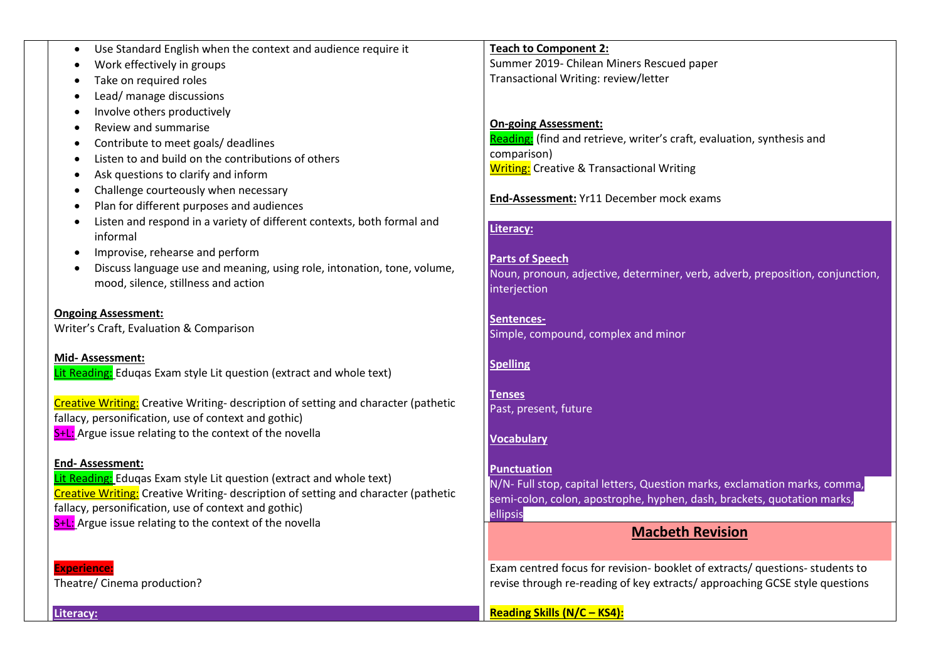|  | Use Standard English when the context and audience require it |  |  |  |  |  |  |
|--|---------------------------------------------------------------|--|--|--|--|--|--|
|--|---------------------------------------------------------------|--|--|--|--|--|--|

- Work effectively in groups
- Take on required roles
- Lead/ manage discussions
- Involve others productively
- Review and summarise
- Contribute to meet goals/ deadlines
- Listen to and build on the contributions of others
- Ask questions to clarify and inform
- Challenge courteously when necessary
- Plan for different purposes and audiences
- Listen and respond in a variety of different contexts, both formal and informal
- Improvise, rehearse and perform
- Discuss language use and meaning, using role, intonation, tone, volume, mood, silence, stillness and action

**Ongoing Assessment:** Writer's Craft, Evaluation & Comparison

**Mid- Assessment:** Lit Reading: Eduqas Exam style Lit question (extract and whole text)

Creative Writing: Creative Writing- description of setting and character (pathetic fallacy, personification, use of context and gothic) S<sup>+</sup>L: Argue issue relating to the context of the novella

### **End- Assessment:**

Lit Reading: Edugas Exam style Lit question (extract and whole text) Creative Writing: Creative Writing- description of setting and character (pathetic fallacy, personification, use of context and gothic) S<sup>+</sup>L: Argue issue relating to the context of the novella

**Experience:** Theatre/ Cinema production?

**Teach to Component 2:** Summer 2019- Chilean Miners Rescued paper Transactional Writing: review/letter

# **On-going Assessment:**

Reading: (find and retrieve, writer's craft, evaluation, synthesis and comparison) **Writing:** Creative & Transactional Writing

**End-Assessment:** Yr11 December mock exams

## **Literacy:**

#### **Parts of Speech**

Noun, pronoun, adjective, determiner, verb, adverb, preposition, conjunction, interjection

**Sentences-**Simple, compound, complex and minor

### **Spelling**

**Tenses** Past, present, future

## **Vocabulary**

## **Punctuation**

N/N- Full stop, capital letters, Question marks, exclamation marks, comma, semi-colon, colon, apostrophe, hyphen, dash, brackets, quotation marks, ellipsis

# **Macbeth Revision**

Exam centred focus for revision- booklet of extracts/ questions- students to revise through re-reading of key extracts/ approaching GCSE style questions

**Reading Skills (N/C – KS4):**

**Literacy:**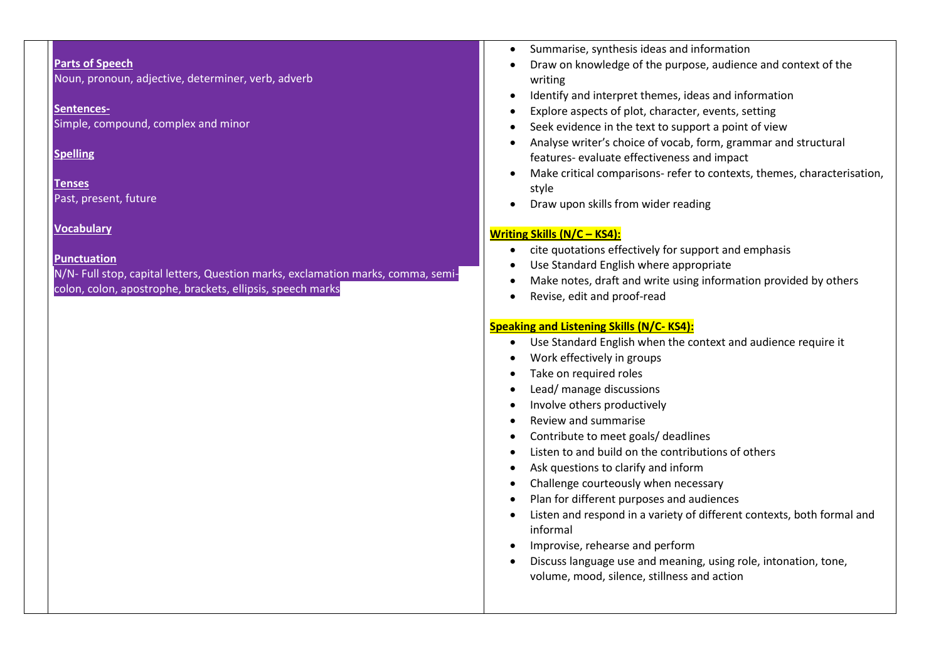#### **Parts of Speech**

Noun, pronoun, adjective, determiner, verb, adverb

#### **Sentences-**

Simple, compound, complex and minor

### **Spelling**

**Tenses** Past, present, future

## **Vocabulary**

#### **Punctuation**

N/N- Full stop, capital letters, Question marks, exclamation marks, comma, semicolon, colon, apostrophe, brackets, ellipsis, speech marks

- Summarise, synthesis ideas and information
- Draw on knowledge of the purpose, audience and context of the writing
- Identify and interpret themes, ideas and information
- Explore aspects of plot, character, events, setting
- Seek evidence in the text to support a point of view
- Analyse writer's choice of vocab, form, grammar and structural features- evaluate effectiveness and impact
- Make critical comparisons- refer to contexts, themes, characterisation, style
- Draw upon skills from wider reading

## **Writing Skills (N/C – KS4):**

- cite quotations effectively for support and emphasis
- Use Standard English where appropriate
- Make notes, draft and write using information provided by others
- Revise, edit and proof-read

## **Speaking and Listening Skills (N/C- KS4):**

- Use Standard English when the context and audience require it
- Work effectively in groups
- Take on required roles
- Lead/ manage discussions
- Involve others productively
- Review and summarise
- Contribute to meet goals/ deadlines
- Listen to and build on the contributions of others
- Ask questions to clarify and inform
- Challenge courteously when necessary
- Plan for different purposes and audiences
- Listen and respond in a variety of different contexts, both formal and informal
- Improvise, rehearse and perform
- Discuss language use and meaning, using role, intonation, tone, volume, mood, silence, stillness and action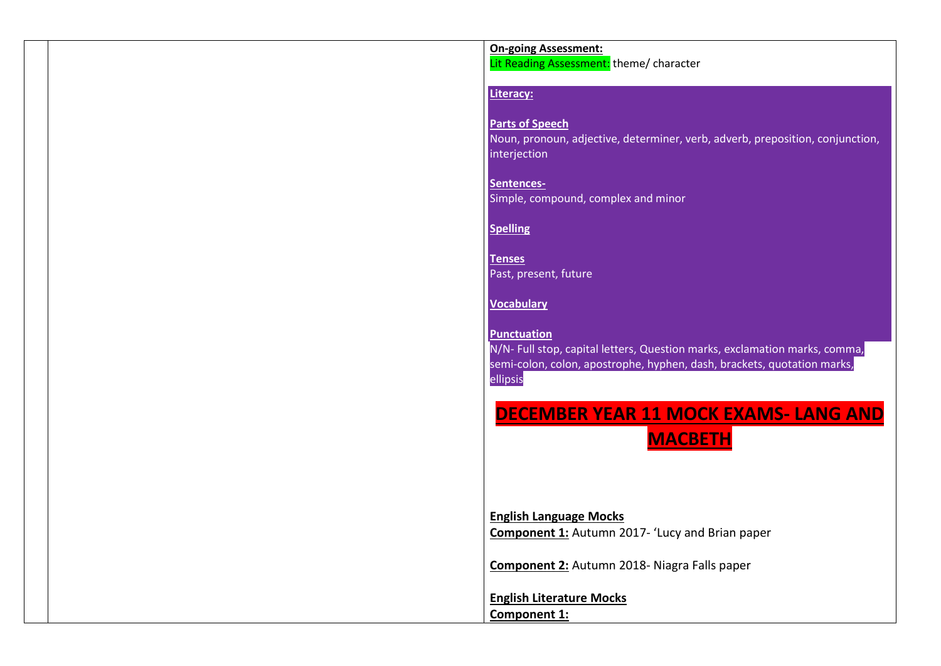## **On-going Assessment:**

Lit Reading Assessment: theme/ character

#### **Literacy:**

#### **Parts of Speech**

Noun, pronoun, adjective, determiner, verb, adverb, preposition, conjunction, interjection

**Sentences-**Simple, compound, complex and minor

## **Spelling**

**Tenses** Past, present, future

## **Vocabulary**

**Punctuation** N/N- Full stop, capital letters, Question marks, exclamation marks, comma, semi-colon, colon, apostrophe, hyphen, dash, brackets, quotation marks, ellipsis

# **DECEMBER YEAR 11 MOCK EXAMS- LANG AND**

**MACBETH**

**English Language Mocks Component 1:** Autumn 2017- 'Lucy and Brian paper

**Component 2:** Autumn 2018- Niagra Falls paper

**English Literature Mocks Component 1:**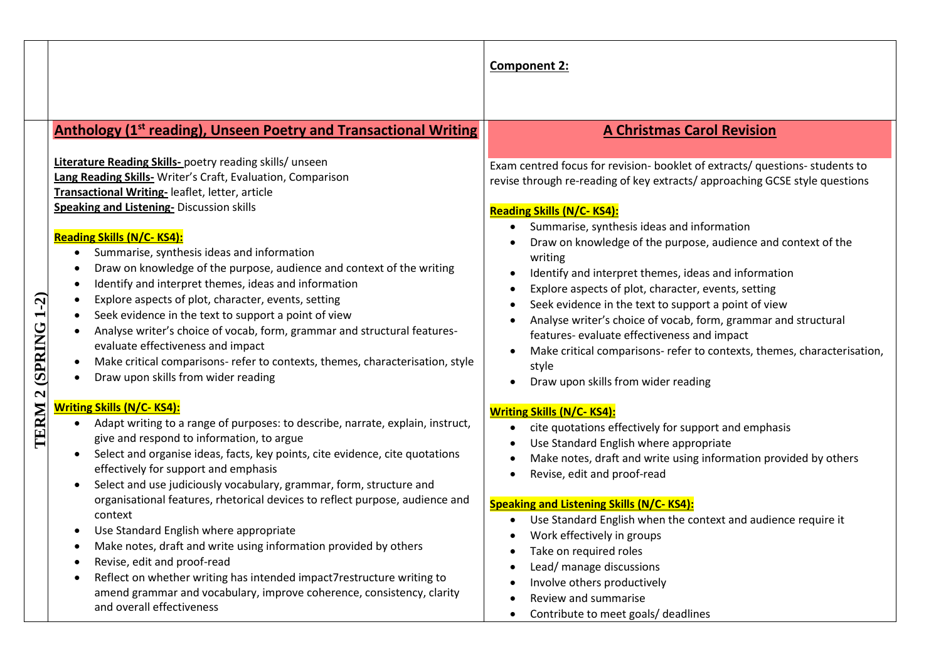|                   |                                                                                                                                                                                                                                                                                                                                                                                                                                                                                                                                                                                                                                                                                                                                                                                                                                                                                                                                         | <b>Component 2:</b>                                                                                                                                                                                                                                                                                                                                                                                                                                                                                                                                                                                                                                                                                                                       |
|-------------------|-----------------------------------------------------------------------------------------------------------------------------------------------------------------------------------------------------------------------------------------------------------------------------------------------------------------------------------------------------------------------------------------------------------------------------------------------------------------------------------------------------------------------------------------------------------------------------------------------------------------------------------------------------------------------------------------------------------------------------------------------------------------------------------------------------------------------------------------------------------------------------------------------------------------------------------------|-------------------------------------------------------------------------------------------------------------------------------------------------------------------------------------------------------------------------------------------------------------------------------------------------------------------------------------------------------------------------------------------------------------------------------------------------------------------------------------------------------------------------------------------------------------------------------------------------------------------------------------------------------------------------------------------------------------------------------------------|
| <b>SPRING 1-2</b> | <b>Anthology (1st reading), Unseen Poetry and Transactional Writing</b><br>Literature Reading Skills- poetry reading skills/ unseen<br>Lang Reading Skills- Writer's Craft, Evaluation, Comparison<br>Transactional Writing-leaflet, letter, article<br><b>Speaking and Listening- Discussion skills</b><br><b>Reading Skills (N/C-KS4):</b><br>Summarise, synthesis ideas and information<br>$\bullet$<br>Draw on knowledge of the purpose, audience and context of the writing<br>$\bullet$<br>Identify and interpret themes, ideas and information<br>$\bullet$<br>Explore aspects of plot, character, events, setting<br>Seek evidence in the text to support a point of view<br>Analyse writer's choice of vocab, form, grammar and structural features-<br>evaluate effectiveness and impact<br>Make critical comparisons- refer to contexts, themes, characterisation, style<br>$\bullet$<br>Draw upon skills from wider reading | <b>A Christmas Carol Revision</b><br>Exam centred focus for revision- booklet of extracts/ questions- students to<br>revise through re-reading of key extracts/approaching GCSE style questions<br><b>Reading Skills (N/C-KS4):</b><br>Summarise, synthesis ideas and information<br>Draw on knowledge of the purpose, audience and context of the<br>writing<br>Identify and interpret themes, ideas and information<br>Explore aspects of plot, character, events, setting<br>Seek evidence in the text to support a point of view<br>Analyse writer's choice of vocab, form, grammar and structural<br>features- evaluate effectiveness and impact<br>Make critical comparisons- refer to contexts, themes, characterisation,<br>style |
| TERM              | <u> Writing Skills (N/C- KS4):</u><br>Adapt writing to a range of purposes: to describe, narrate, explain, instruct,<br>$\bullet$<br>give and respond to information, to argue<br>Select and organise ideas, facts, key points, cite evidence, cite quotations<br>$\bullet$<br>effectively for support and emphasis<br>Select and use judiciously vocabulary, grammar, form, structure and<br>$\bullet$<br>organisational features, rhetorical devices to reflect purpose, audience and<br>context<br>Use Standard English where appropriate<br>$\bullet$<br>Make notes, draft and write using information provided by others<br>Revise, edit and proof-read<br>Reflect on whether writing has intended impact7restructure writing to<br>$\bullet$<br>amend grammar and vocabulary, improve coherence, consistency, clarity<br>and overall effectiveness                                                                                | Draw upon skills from wider reading<br><b>Writing Skills (N/C-KS4):</b><br>cite quotations effectively for support and emphasis<br>Use Standard English where appropriate<br>Make notes, draft and write using information provided by others<br>Revise, edit and proof-read<br><b>Speaking and Listening Skills (N/C-KS4):</b><br>Use Standard English when the context and audience require it<br>Work effectively in groups<br>Take on required roles<br>Lead/ manage discussions<br>Involve others productively<br>Review and summarise<br>Contribute to meet goals/ deadlines                                                                                                                                                        |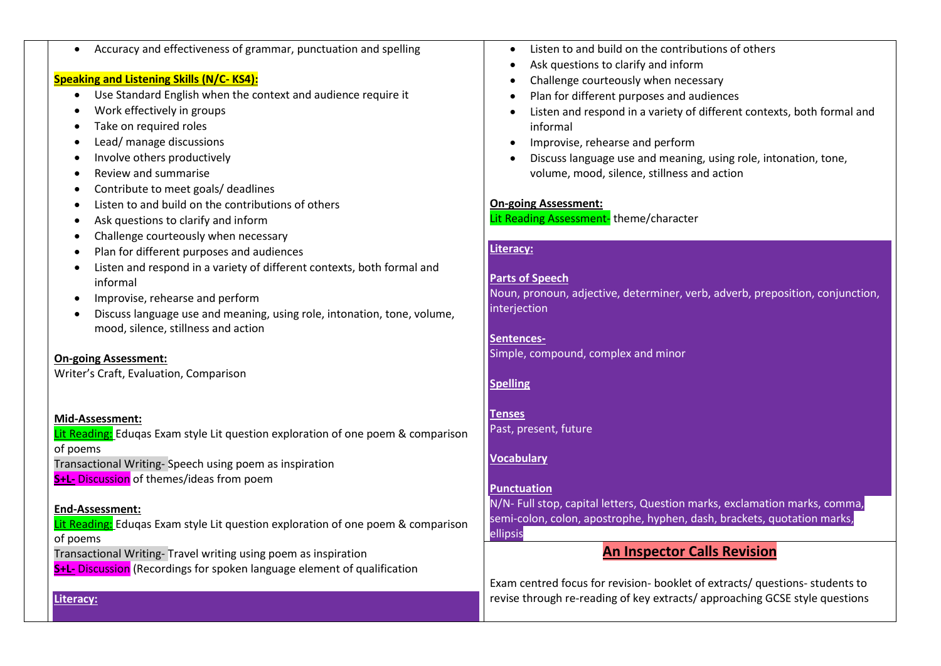| Accuracy and effectiveness of grammar, punctuation and spelling<br>$\bullet$<br><b>Speaking and Listening Skills (N/C-KS4):</b><br>Use Standard English when the context and audience require it<br>$\bullet$<br>Work effectively in groups<br>$\bullet$<br>Take on required roles<br>$\bullet$<br>Lead/ manage discussions<br>Involve others productively<br>$\bullet$<br>Review and summarise<br>$\bullet$<br>Contribute to meet goals/ deadlines<br>$\bullet$<br>Listen to and build on the contributions of others<br>$\bullet$ | Listen to and build on the contributions of others<br>Ask questions to clarify and inform<br>Challenge courteously when necessary<br>Plan for different purposes and audiences<br>$\bullet$<br>Listen and respond in a variety of different contexts, both formal and<br>informal<br>Improvise, rehearse and perform<br>Discuss language use and meaning, using role, intonation, tone,<br>volume, mood, silence, stillness and action<br><b>On-going Assessment:</b><br>Lit Reading Assessment-theme/character |
|-------------------------------------------------------------------------------------------------------------------------------------------------------------------------------------------------------------------------------------------------------------------------------------------------------------------------------------------------------------------------------------------------------------------------------------------------------------------------------------------------------------------------------------|-----------------------------------------------------------------------------------------------------------------------------------------------------------------------------------------------------------------------------------------------------------------------------------------------------------------------------------------------------------------------------------------------------------------------------------------------------------------------------------------------------------------|
| Ask questions to clarify and inform<br>$\bullet$                                                                                                                                                                                                                                                                                                                                                                                                                                                                                    |                                                                                                                                                                                                                                                                                                                                                                                                                                                                                                                 |
| Challenge courteously when necessary<br>$\bullet$<br>Plan for different purposes and audiences<br>$\bullet$                                                                                                                                                                                                                                                                                                                                                                                                                         | <b>Literacy:</b>                                                                                                                                                                                                                                                                                                                                                                                                                                                                                                |
| Listen and respond in a variety of different contexts, both formal and<br>informal<br>Improvise, rehearse and perform<br>Discuss language use and meaning, using role, intonation, tone, volume,<br>mood, silence, stillness and action<br><b>On-going Assessment:</b><br>Writer's Craft, Evaluation, Comparison                                                                                                                                                                                                                    | <b>Parts of Speech</b><br>Noun, pronoun, adjective, determiner, verb, adverb, preposition, conjunction,<br>interjection<br>Sentences-<br>Simple, compound, complex and minor<br><b>Spelling</b>                                                                                                                                                                                                                                                                                                                 |
| Mid-Assessment:<br>Lit Reading: Eduqas Exam style Lit question exploration of one poem & comparison<br>of poems<br>Transactional Writing-Speech using poem as inspiration                                                                                                                                                                                                                                                                                                                                                           | <b>Tenses</b><br>Past, present, future<br><b>Vocabulary</b>                                                                                                                                                                                                                                                                                                                                                                                                                                                     |
| S+L- Discussion of themes/ideas from poem<br><b>End-Assessment:</b><br>Lit Reading: Eduqas Exam style Lit question exploration of one poem & comparison                                                                                                                                                                                                                                                                                                                                                                             | <b>Punctuation</b><br>N/N- Full stop, capital letters, Question marks, exclamation marks, comma,<br>semi-colon, colon, apostrophe, hyphen, dash, brackets, quotation marks,<br>ellipsis                                                                                                                                                                                                                                                                                                                         |
| of poems<br>Transactional Writing- Travel writing using poem as inspiration<br><b>S+L-</b> Discussion (Recordings for spoken language element of qualification                                                                                                                                                                                                                                                                                                                                                                      | <b>An Inspector Calls Revision</b>                                                                                                                                                                                                                                                                                                                                                                                                                                                                              |

Exam centred focus for revision- booklet of extracts/ questions- students to revise through re-reading of key extracts/ approaching GCSE style questions

## **Literacy:**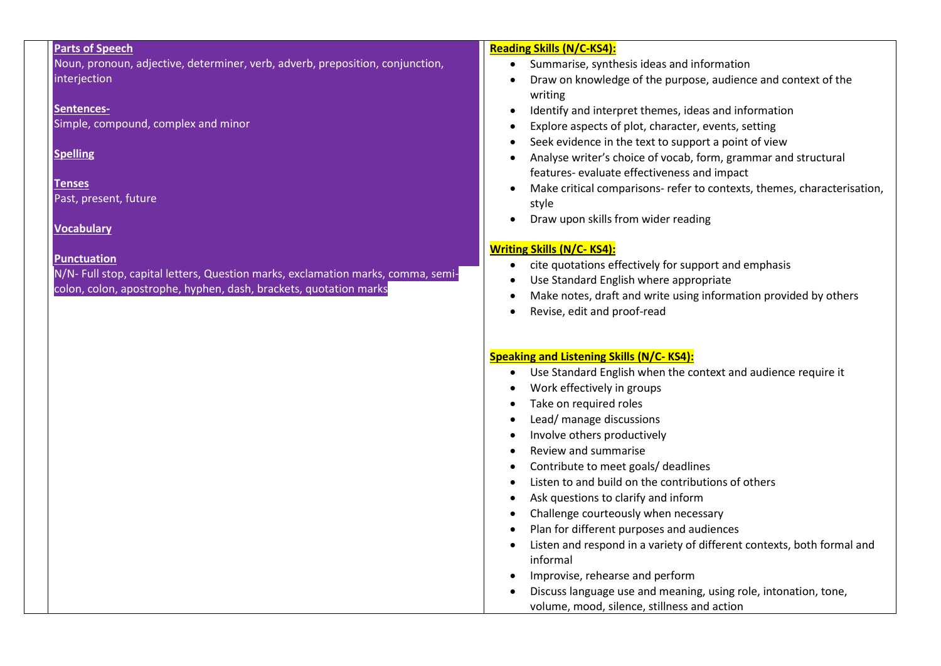## **Parts of Speech**

Noun, pronoun, adjective, determiner, verb, adverb, preposition, conjunction, interjection

#### **Sentences-**

Simple, compound, complex and minor

## **Spelling**

#### **Tenses** Past, present, future

## **Vocabulary**

## **Punctuation**

N/N- Full stop, capital letters, Question marks, exclamation marks, comma, semicolon, colon, apostrophe, hyphen, dash, brackets, quotation marks

## **Reading Skills (N/C-KS4):**

- Summarise, synthesis ideas and information
- Draw on knowledge of the purpose, audience and context of the writing
- Identify and interpret themes, ideas and information
- Explore aspects of plot, character, events, setting
- Seek evidence in the text to support a point of view
- Analyse writer's choice of vocab, form, grammar and structural features- evaluate effectiveness and impact
- Make critical comparisons- refer to contexts, themes, characterisation, style
- Draw upon skills from wider reading

# **Writing Skills (N/C- KS4):**

- cite quotations effectively for support and emphasis
- Use Standard English where appropriate
- Make notes, draft and write using information provided by others
- Revise, edit and proof-read

# **Speaking and Listening Skills (N/C- KS4):**

- Use Standard English when the context and audience require it
- Work effectively in groups
- Take on required roles
- Lead/ manage discussions
- Involve others productively
- Review and summarise
- Contribute to meet goals/ deadlines
- Listen to and build on the contributions of others
- Ask questions to clarify and inform
- Challenge courteously when necessary
- Plan for different purposes and audiences
- Listen and respond in a variety of different contexts, both formal and informal
- Improvise, rehearse and perform
- Discuss language use and meaning, using role, intonation, tone, volume, mood, silence, stillness and action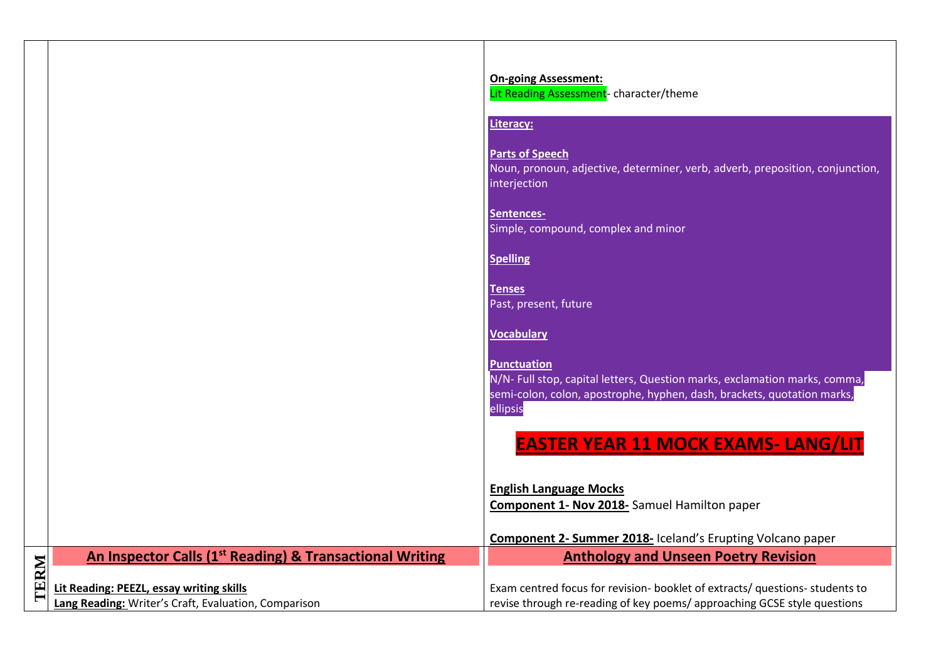|      |                                                                                                  | <b>On-going Assessment:</b><br>Lit Reading Assessment- character/theme                                                                                                                  |
|------|--------------------------------------------------------------------------------------------------|-----------------------------------------------------------------------------------------------------------------------------------------------------------------------------------------|
|      |                                                                                                  | Literacy:                                                                                                                                                                               |
|      |                                                                                                  | <b>Parts of Speech</b><br>Noun, pronoun, adjective, determiner, verb, adverb, preposition, conjunction,<br>interjection                                                                 |
|      |                                                                                                  | Sentences-<br>Simple, compound, complex and minor                                                                                                                                       |
|      |                                                                                                  | <b>Spelling</b>                                                                                                                                                                         |
|      |                                                                                                  | <b>Tenses</b><br>Past, present, future                                                                                                                                                  |
|      |                                                                                                  | Vocabulary                                                                                                                                                                              |
|      |                                                                                                  | <b>Punctuation</b><br>N/N- Full stop, capital letters, Question marks, exclamation marks, comma,<br>semi-colon, colon, apostrophe, hyphen, dash, brackets, quotation marks,<br>ellipsis |
|      |                                                                                                  | <b>EASTER YEAR 11 MOCK EXAMS- LANG/LIT</b>                                                                                                                                              |
|      |                                                                                                  | <b>English Language Mocks</b><br><b>Component 1- Nov 2018-</b> Samuel Hamilton paper                                                                                                    |
|      |                                                                                                  | <b>Component 2- Summer 2018-</b> Iceland's Erupting Volcano paper                                                                                                                       |
|      | An Inspector Calls (1 <sup>st</sup> Reading) & Transactional Writing                             | <b>Anthology and Unseen Poetry Revision</b>                                                                                                                                             |
| TERM | Lit Reading: PEEZL, essay writing skills<br>Lang Reading: Writer's Craft, Evaluation, Comparison | Exam centred focus for revision- booklet of extracts/ questions- students to<br>revise through re-reading of key poems/ approaching GCSE style questions                                |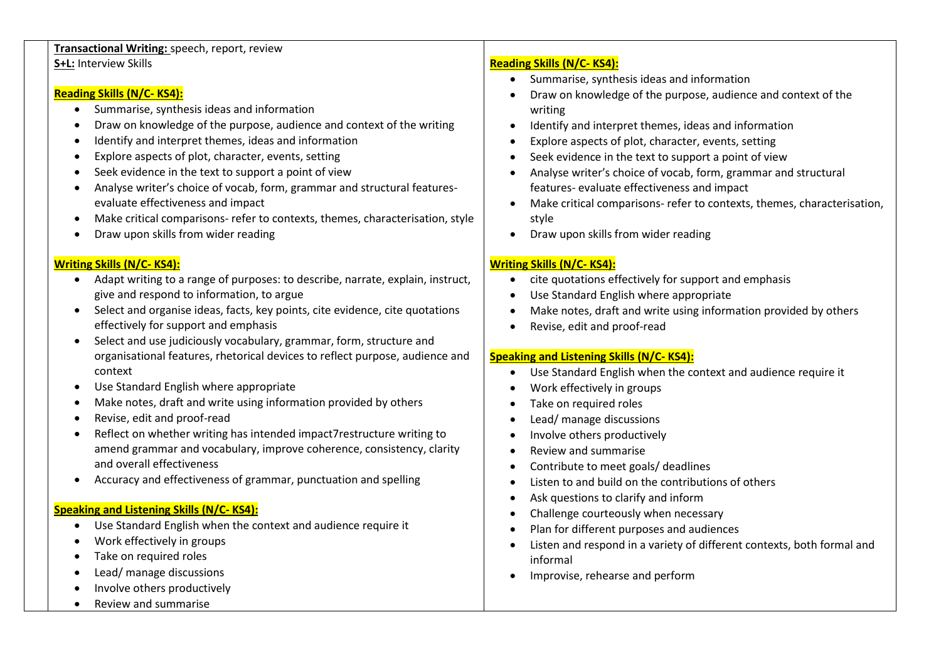## **Transactional Writing:** speech, report, review **S+L:** Interview Skills

## **Reading Skills (N/C- KS4):**

- Summarise, synthesis ideas and information
- Draw on knowledge of the purpose, audience and context of the writing
- Identify and interpret themes, ideas and information
- Explore aspects of plot, character, events, setting
- Seek evidence in the text to support a point of view
- Analyse writer's choice of vocab, form, grammar and structural featuresevaluate effectiveness and impact
- Make critical comparisons- refer to contexts, themes, characterisation, style
- Draw upon skills from wider reading

## **Writing Skills (N/C- KS4):**

- Adapt writing to a range of purposes: to describe, narrate, explain, instruct, give and respond to information, to argue
- Select and organise ideas, facts, key points, cite evidence, cite quotations effectively for support and emphasis
- Select and use judiciously vocabulary, grammar, form, structure and organisational features, rhetorical devices to reflect purpose, audience and context
- Use Standard English where appropriate
- Make notes, draft and write using information provided by others
- Revise, edit and proof-read
- Reflect on whether writing has intended impact7restructure writing to amend grammar and vocabulary, improve coherence, consistency, clarity and overall effectiveness
- Accuracy and effectiveness of grammar, punctuation and spelling

# **Speaking and Listening Skills (N/C- KS4):**

- Use Standard English when the context and audience require it
- Work effectively in groups
- Take on required roles
- Lead/ manage discussions
- Involve others productively
- Review and summarise

# **Reading Skills (N/C- KS4):**

- Summarise, synthesis ideas and information
- Draw on knowledge of the purpose, audience and context of the writing
- Identify and interpret themes, ideas and information
- Explore aspects of plot, character, events, setting
- Seek evidence in the text to support a point of view
- Analyse writer's choice of vocab, form, grammar and structural features- evaluate effectiveness and impact
- Make critical comparisons- refer to contexts, themes, characterisation, style
- Draw upon skills from wider reading

# **Writing Skills (N/C- KS4):**

- cite quotations effectively for support and emphasis
- Use Standard English where appropriate
- Make notes, draft and write using information provided by others
- Revise, edit and proof-read

# **Speaking and Listening Skills (N/C- KS4):**

- Use Standard English when the context and audience require it
- Work effectively in groups
- Take on required roles
- Lead/ manage discussions
- Involve others productively
- Review and summarise
- Contribute to meet goals/ deadlines
- Listen to and build on the contributions of others
- Ask questions to clarify and inform
- Challenge courteously when necessary
- Plan for different purposes and audiences
- Listen and respond in a variety of different contexts, both formal and informal
- Improvise, rehearse and perform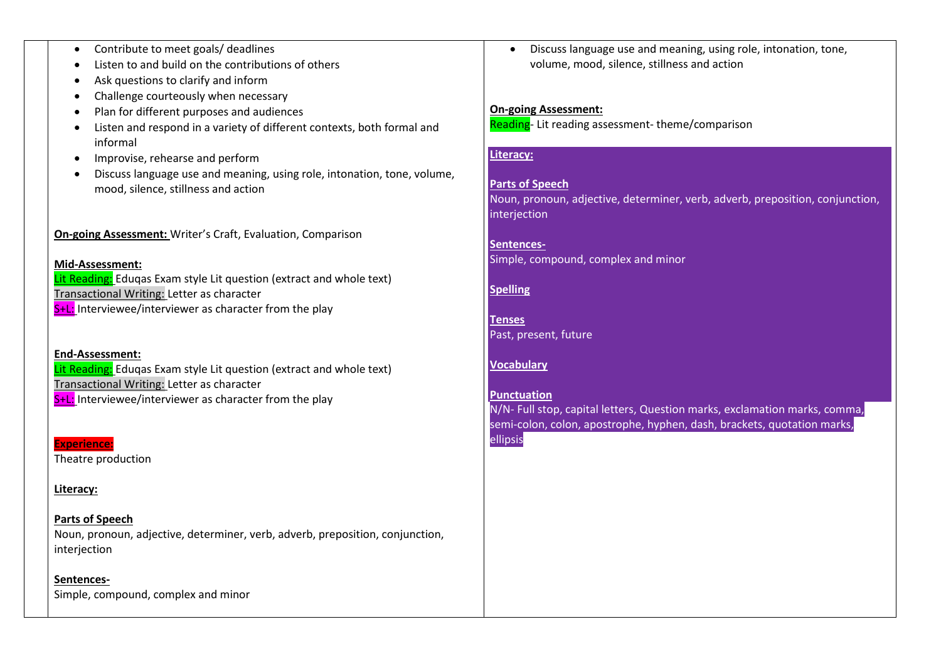- Contribute to meet goals/ deadlines
- Listen to and build on the contributions of others
- Ask questions to clarify and inform
- Challenge courteously when necessary
- Plan for different purposes and audiences
- Listen and respond in a variety of different contexts, both formal and informal
- Improvise, rehearse and perform
- Discuss language use and meaning, using role, intonation, tone, volume, mood, silence, stillness and action

**On-going Assessment:** Writer's Craft, Evaluation, Comparison

#### **Mid-Assessment:**

Lit Reading: Eduqas Exam style Lit question (extract and whole text) Transactional Writing: Letter as character S<sup>+L:</sup> Interviewee/interviewer as character from the play

#### **End-Assessment:**

Lit Reading: Edugas Exam style Lit question (extract and whole text) Transactional Writing: Letter as character  $S+L:$  Interviewee/interviewer as character from the play

#### **Experience:**

Theatre production

### **Literacy:**

**Parts of Speech** Noun, pronoun, adjective, determiner, verb, adverb, preposition, conjunction, interjection

**Sentences-**Simple, compound, complex and minor • Discuss language use and meaning, using role, intonation, tone, volume, mood, silence, stillness and action

## **On-going Assessment:**

Reading- Lit reading assessment-theme/comparison

#### **Literacy:**

# **Parts of Speech**

Noun, pronoun, adjective, determiner, verb, adverb, preposition, conjunction, interjection

**Sentences-**Simple, compound, complex and minor

**Spelling**

**Tenses** Past, present, future

## **Vocabulary**

### **Punctuation**

N/N- Full stop, capital letters, Question marks, exclamation marks, comma, semi-colon, colon, apostrophe, hyphen, dash, brackets, quotation marks, ellipsis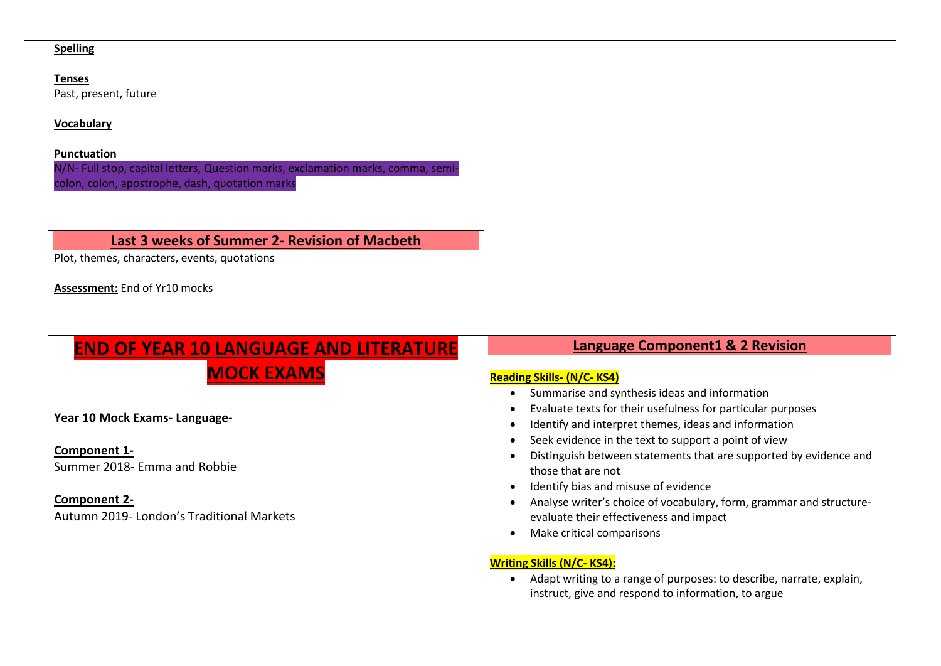| <b>Spelling</b>                                                                                        |                                                                                                                       |
|--------------------------------------------------------------------------------------------------------|-----------------------------------------------------------------------------------------------------------------------|
| <b>Tenses</b>                                                                                          |                                                                                                                       |
| Past, present, future                                                                                  |                                                                                                                       |
| <b>Vocabulary</b>                                                                                      |                                                                                                                       |
|                                                                                                        |                                                                                                                       |
| <b>Punctuation</b><br>N/N- Full stop, capital letters, Question marks, exclamation marks, comma, semi- |                                                                                                                       |
| colon, colon, apostrophe, dash, quotation marks                                                        |                                                                                                                       |
|                                                                                                        |                                                                                                                       |
|                                                                                                        |                                                                                                                       |
| Last 3 weeks of Summer 2- Revision of Macbeth                                                          |                                                                                                                       |
| Plot, themes, characters, events, quotations                                                           |                                                                                                                       |
| Assessment: End of Yr10 mocks                                                                          |                                                                                                                       |
|                                                                                                        |                                                                                                                       |
|                                                                                                        |                                                                                                                       |
| <b>END OF YEAR 10 LANGUAGE AND LITERATURE</b>                                                          | <b>Language Component1 &amp; 2 Revision</b>                                                                           |
|                                                                                                        |                                                                                                                       |
|                                                                                                        |                                                                                                                       |
| <b>MOCK EXAMS</b>                                                                                      | <b>Reading Skills- (N/C-KS4)</b><br>Summarise and synthesis ideas and information<br>$\bullet$                        |
|                                                                                                        | Evaluate texts for their usefulness for particular purposes                                                           |
| Year 10 Mock Exams-Language-                                                                           | Identify and interpret themes, ideas and information                                                                  |
| Component 1-                                                                                           | Seek evidence in the text to support a point of view                                                                  |
| Summer 2018- Emma and Robbie                                                                           | Distinguish between statements that are supported by evidence and<br>those that are not                               |
|                                                                                                        | Identify bias and misuse of evidence                                                                                  |
| Component 2-<br>Autumn 2019- London's Traditional Markets                                              | Analyse writer's choice of vocabulary, form, grammar and structure-<br>$\bullet$                                      |
|                                                                                                        | evaluate their effectiveness and impact<br>Make critical comparisons<br>$\bullet$                                     |
|                                                                                                        |                                                                                                                       |
|                                                                                                        | <b>Writing Skills (N/C-KS4):</b><br>Adapt writing to a range of purposes: to describe, narrate, explain,<br>$\bullet$ |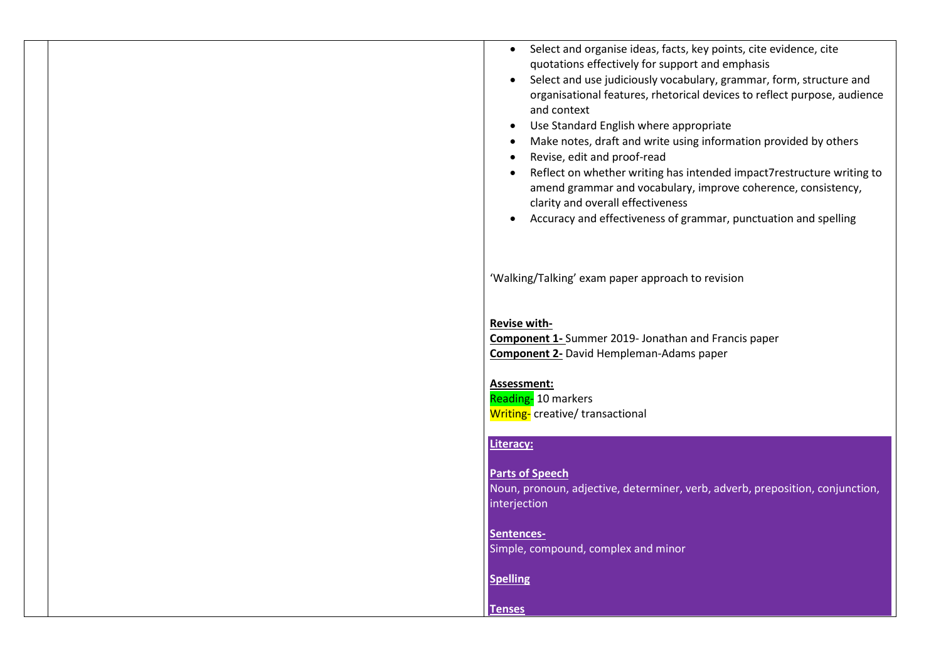| $\bullet$ | Select and organise ideas, facts, key points, cite evidence, cite        |
|-----------|--------------------------------------------------------------------------|
|           | quotations effectively for support and emphasis                          |
| $\bullet$ | Select and use judiciously vocabulary, grammar, form, structure and      |
|           | organisational features, rhetorical devices to reflect purpose, audience |
|           | and context                                                              |
| $\bullet$ | Use Standard English where appropriate                                   |

- Make notes, draft and write using information provided by others
- Revise, edit and proof-read
- Reflect on whether writing has intended impact7restructure writing to amend grammar and vocabulary, improve coherence, consistency, clarity and overall effectiveness
- Accuracy and effectiveness of grammar, punctuation and spelling

'Walking/Talking' exam paper approach to revision

#### **Revise with-**

**Component 1-** Summer 2019- Jonathan and Francis paper **Component 2-** David Hempleman-Adams paper

#### **Assessment:**

Reading-10 markers Writing- creative/ transactional

## **Literacy:**

**Parts of Speech** Noun, pronoun, adjective, determiner, verb, adverb, preposition, conjunction, interjection

**Sentences-**Simple, compound, complex and minor

**Spelling**

**Tenses**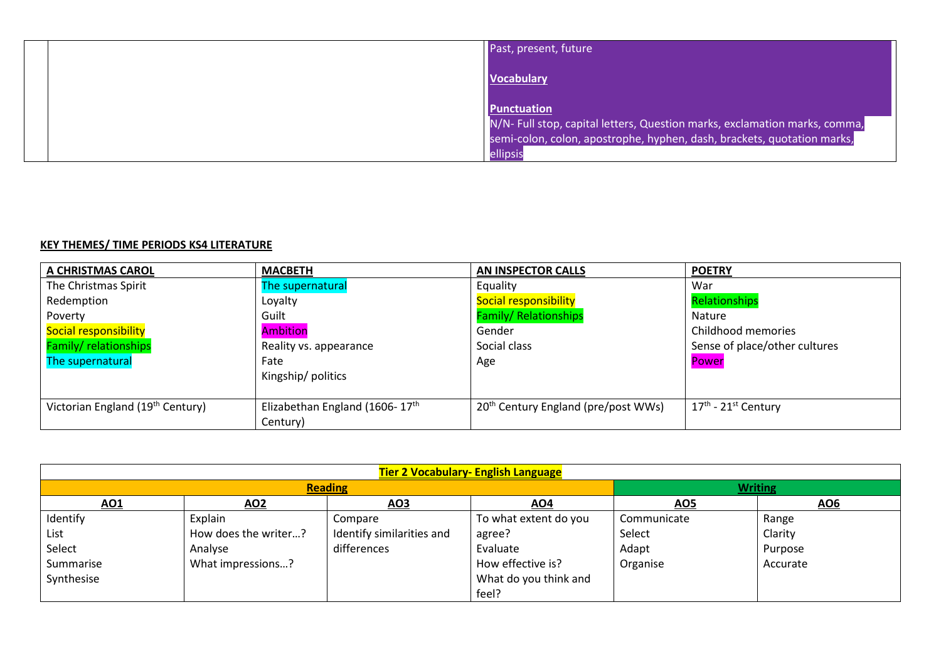| Past, present, future                                                               |
|-------------------------------------------------------------------------------------|
| <b>Vocabulary</b>                                                                   |
| <b>Punctuation</b>                                                                  |
| N/N- Full stop, capital letters, Question marks, exclamation marks, comma,          |
| semi-colon, colon, apostrophe, hyphen, dash, brackets, quotation marks,<br>ellipsis |

# **KEY THEMES/ TIME PERIODS KS4 LITERATURE**

| A CHRISTMAS CAROL                            | <b>MACBETH</b>                             | <b>AN INSPECTOR CALLS</b>                       | <b>POETRY</b>                     |
|----------------------------------------------|--------------------------------------------|-------------------------------------------------|-----------------------------------|
| The Christmas Spirit                         | The supernatural                           | Equality                                        | War                               |
| Redemption                                   | Loyalty                                    | Social responsibility                           | Relationships                     |
| Poverty                                      | Guilt                                      | <b>Family/ Relationships</b>                    | Nature                            |
| Social responsibility                        | <b>Ambition</b>                            | Gender                                          | Childhood memories                |
| Family/ relationships                        | Reality vs. appearance                     | Social class                                    | Sense of place/other cultures     |
| The supernatural                             | Fate                                       | Age                                             | Power                             |
|                                              | Kingship/politics                          |                                                 |                                   |
|                                              |                                            |                                                 |                                   |
| Victorian England (19 <sup>th</sup> Century) | Elizabethan England (1606-17 <sup>th</sup> | 20 <sup>th</sup> Century England (pre/post WWs) | $17th$ - 21 <sup>st</sup> Century |
|                                              | Century)                                   |                                                 |                                   |

| <b>Tier 2 Vocabulary- English Language</b> |                      |                           |                       |             |          |  |  |
|--------------------------------------------|----------------------|---------------------------|-----------------------|-------------|----------|--|--|
|                                            | <b>Reading</b>       | <b>Writing</b>            |                       |             |          |  |  |
| <u>AO1</u>                                 | <u>AO2</u>           | AO3                       | AO4                   | <u>AO5</u>  | AO6      |  |  |
| Identify                                   | Explain              | Compare                   | To what extent do you | Communicate | Range    |  |  |
| List                                       | How does the writer? | Identify similarities and | agree?                | Select      | Clarity  |  |  |
| Select                                     | Analyse              | differences               | Evaluate              | Adapt       | Purpose  |  |  |
| Summarise                                  | What impressions?    |                           | How effective is?     | Organise    | Accurate |  |  |
| Synthesise                                 |                      |                           | What do you think and |             |          |  |  |
|                                            |                      |                           | feel?                 |             |          |  |  |